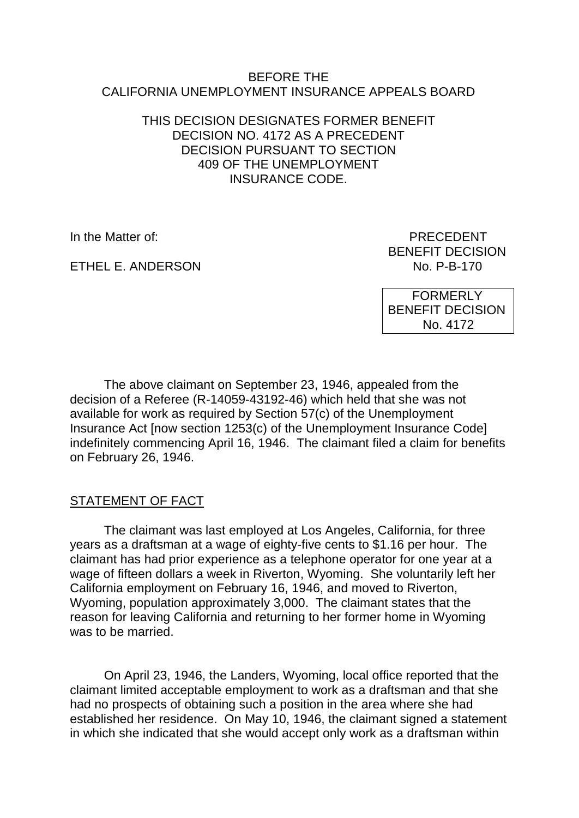#### BEFORE THE CALIFORNIA UNEMPLOYMENT INSURANCE APPEALS BOARD

#### THIS DECISION DESIGNATES FORMER BENEFIT DECISION NO. 4172 AS A PRECEDENT DECISION PURSUANT TO SECTION 409 OF THE UNEMPLOYMENT INSURANCE CODE.

ETHEL E. ANDERSON NO. P-B-170

In the Matter of: PRECEDENT BENEFIT DECISION

> FORMERLY BENEFIT DECISION No. 4172

The above claimant on September 23, 1946, appealed from the decision of a Referee (R-14059-43192-46) which held that she was not available for work as required by Section 57(c) of the Unemployment Insurance Act [now section 1253(c) of the Unemployment Insurance Code] indefinitely commencing April 16, 1946. The claimant filed a claim for benefits on February 26, 1946.

## STATEMENT OF FACT

The claimant was last employed at Los Angeles, California, for three years as a draftsman at a wage of eighty-five cents to \$1.16 per hour. The claimant has had prior experience as a telephone operator for one year at a wage of fifteen dollars a week in Riverton, Wyoming. She voluntarily left her California employment on February 16, 1946, and moved to Riverton, Wyoming, population approximately 3,000. The claimant states that the reason for leaving California and returning to her former home in Wyoming was to be married.

On April 23, 1946, the Landers, Wyoming, local office reported that the claimant limited acceptable employment to work as a draftsman and that she had no prospects of obtaining such a position in the area where she had established her residence. On May 10, 1946, the claimant signed a statement in which she indicated that she would accept only work as a draftsman within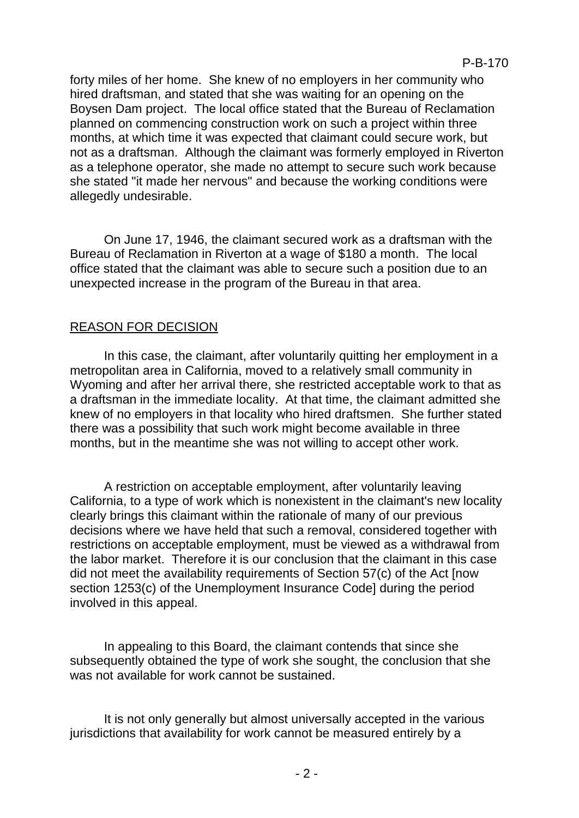forty miles of her home. She knew of no employers in her community who hired draftsman, and stated that she was waiting for an opening on the Boysen Dam project. The local office stated that the Bureau of Reclamation planned on commencing construction work on such a project within three months, at which time it was expected that claimant could secure work, but not as a draftsman. Although the claimant was formerly employed in Riverton as a telephone operator, she made no attempt to secure such work because she stated "it made her nervous" and because the working conditions were allegedly undesirable.

On June 17, 1946, the claimant secured work as a draftsman with the Bureau of Reclamation in Riverton at a wage of \$180 a month. The local office stated that the claimant was able to secure such a position due to an unexpected increase in the program of the Bureau in that area.

## REASON FOR DECISION

In this case, the claimant, after voluntarily quitting her employment in a metropolitan area in California, moved to a relatively small community in Wyoming and after her arrival there, she restricted acceptable work to that as a draftsman in the immediate locality. At that time, the claimant admitted she knew of no employers in that locality who hired draftsmen. She further stated there was a possibility that such work might become available in three months, but in the meantime she was not willing to accept other work.

A restriction on acceptable employment, after voluntarily leaving California, to a type of work which is nonexistent in the claimant's new locality clearly brings this claimant within the rationale of many of our previous decisions where we have held that such a removal, considered together with restrictions on acceptable employment, must be viewed as a withdrawal from the labor market. Therefore it is our conclusion that the claimant in this case did not meet the availability requirements of Section 57(c) of the Act [now section 1253(c) of the Unemployment Insurance Code] during the period involved in this appeal.

In appealing to this Board, the claimant contends that since she subsequently obtained the type of work she sought, the conclusion that she was not available for work cannot be sustained.

It is not only generally but almost universally accepted in the various jurisdictions that availability for work cannot be measured entirely by a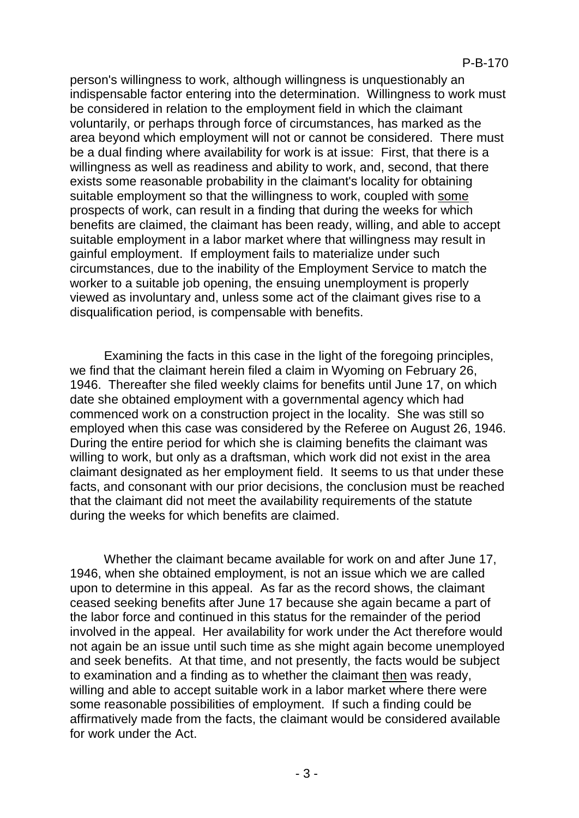person's willingness to work, although willingness is unquestionably an indispensable factor entering into the determination. Willingness to work must be considered in relation to the employment field in which the claimant voluntarily, or perhaps through force of circumstances, has marked as the area beyond which employment will not or cannot be considered. There must be a dual finding where availability for work is at issue: First, that there is a willingness as well as readiness and ability to work, and, second, that there exists some reasonable probability in the claimant's locality for obtaining suitable employment so that the willingness to work, coupled with some prospects of work, can result in a finding that during the weeks for which benefits are claimed, the claimant has been ready, willing, and able to accept suitable employment in a labor market where that willingness may result in gainful employment. If employment fails to materialize under such circumstances, due to the inability of the Employment Service to match the worker to a suitable job opening, the ensuing unemployment is properly viewed as involuntary and, unless some act of the claimant gives rise to a disqualification period, is compensable with benefits.

Examining the facts in this case in the light of the foregoing principles, we find that the claimant herein filed a claim in Wyoming on February 26, 1946. Thereafter she filed weekly claims for benefits until June 17, on which date she obtained employment with a governmental agency which had commenced work on a construction project in the locality. She was still so employed when this case was considered by the Referee on August 26, 1946. During the entire period for which she is claiming benefits the claimant was willing to work, but only as a draftsman, which work did not exist in the area claimant designated as her employment field. It seems to us that under these facts, and consonant with our prior decisions, the conclusion must be reached that the claimant did not meet the availability requirements of the statute during the weeks for which benefits are claimed.

Whether the claimant became available for work on and after June 17, 1946, when she obtained employment, is not an issue which we are called upon to determine in this appeal. As far as the record shows, the claimant ceased seeking benefits after June 17 because she again became a part of the labor force and continued in this status for the remainder of the period involved in the appeal. Her availability for work under the Act therefore would not again be an issue until such time as she might again become unemployed and seek benefits. At that time, and not presently, the facts would be subject to examination and a finding as to whether the claimant then was ready, willing and able to accept suitable work in a labor market where there were some reasonable possibilities of employment. If such a finding could be affirmatively made from the facts, the claimant would be considered available for work under the Act.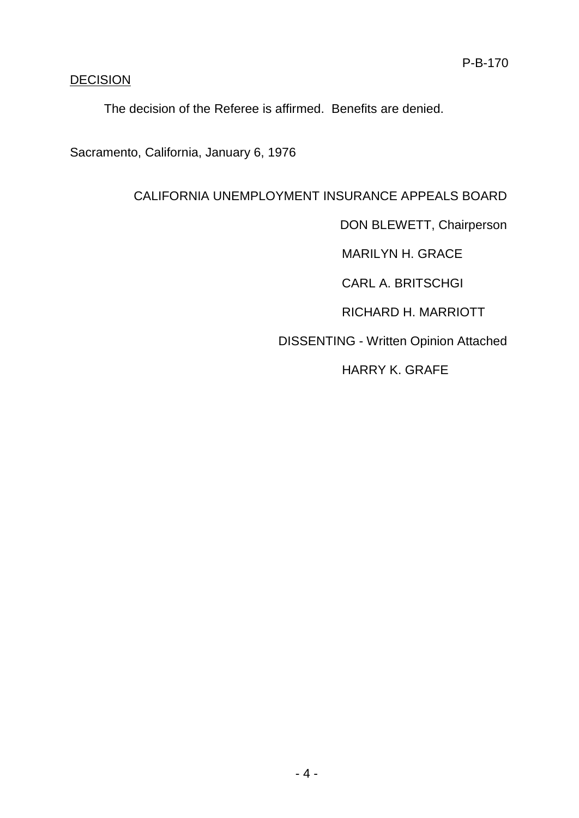## **DECISION**

The decision of the Referee is affirmed. Benefits are denied.

Sacramento, California, January 6, 1976

# CALIFORNIA UNEMPLOYMENT INSURANCE APPEALS BOARD

DON BLEWETT, Chairperson

MARILYN H. GRACE

CARL A. BRITSCHGI

RICHARD H. MARRIOTT

DISSENTING - Written Opinion Attached

HARRY K. GRAFE